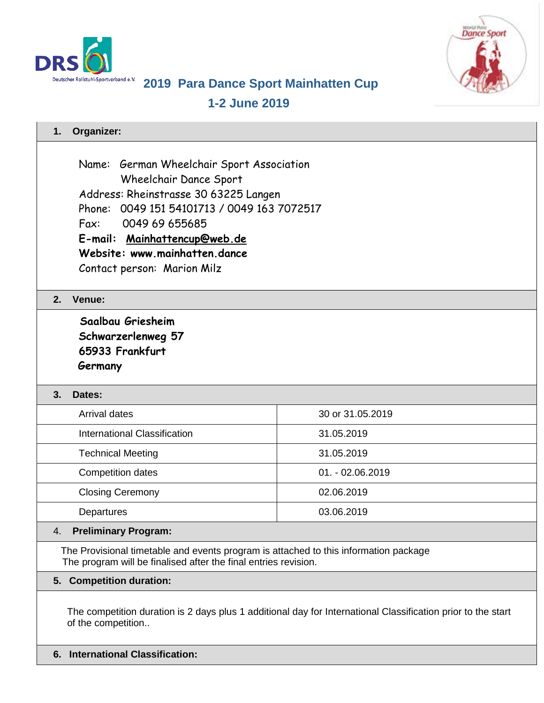



# **2019 Para Dance Sport Mainhatten Cup**

**1-2 June 2019**

| Organizer:<br>1.                                                                                                                                                                                                                                                                      |                    |
|---------------------------------------------------------------------------------------------------------------------------------------------------------------------------------------------------------------------------------------------------------------------------------------|--------------------|
| Name: German Wheelchair Sport Association<br>Wheelchair Dance Sport<br>Address: Rheinstrasse 30 63225 Langen<br>Phone: 0049 151 54101713 / 0049 163 7072517<br>Fax:<br>0049 69 655685<br>E-mail: Mainhattencup@web.de<br>Website: www.mainhatten.dance<br>Contact person: Marion Milz |                    |
| Venue:<br>2.                                                                                                                                                                                                                                                                          |                    |
| Saalbau Griesheim<br>Schwarzerlenweg 57<br>65933 Frankfurt<br>Germany                                                                                                                                                                                                                 |                    |
| 3.<br>Dates:                                                                                                                                                                                                                                                                          |                    |
| <b>Arrival dates</b>                                                                                                                                                                                                                                                                  | 30 or 31.05.2019   |
| <b>International Classification</b>                                                                                                                                                                                                                                                   | 31.05.2019         |
| <b>Technical Meeting</b>                                                                                                                                                                                                                                                              | 31.05.2019         |
| <b>Competition dates</b>                                                                                                                                                                                                                                                              | $01. - 02.06.2019$ |
| <b>Closing Ceremony</b>                                                                                                                                                                                                                                                               | 02.06.2019         |
| Departures                                                                                                                                                                                                                                                                            | 03.06.2019         |
| <b>Preliminary Program:</b><br>4.                                                                                                                                                                                                                                                     |                    |
| The Provisional timetable and events program is attached to this information package<br>The program will be finalised after the final entries revision.                                                                                                                               |                    |
| <b>Competition duration:</b><br>5.                                                                                                                                                                                                                                                    |                    |
|                                                                                                                                                                                                                                                                                       |                    |

The competition duration is 2 days plus 1 additional day for International Classification prior to the start of the competition..

**6. International Classification:**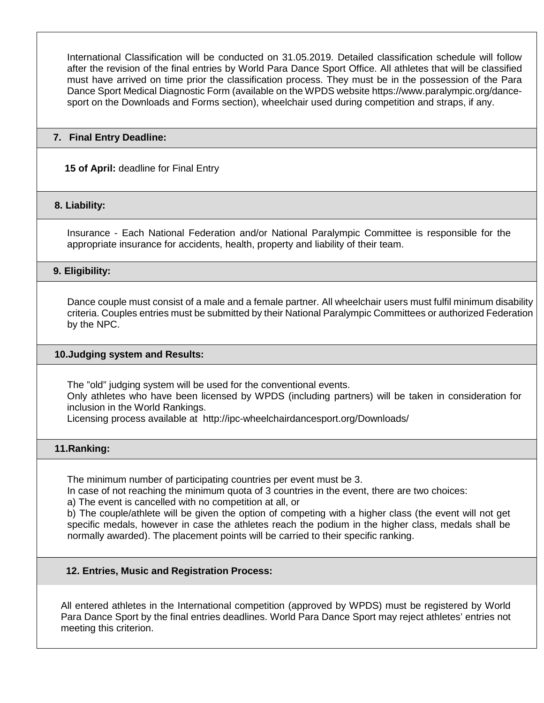International Classification will be conducted on 31.05.2019. Detailed classification schedule will follow after the revision of the final entries by World Para Dance Sport Office. All athletes that will be classified must have arrived on time prior the classification process. They must be in the possession of the Para Dance Sport Medical Diagnostic Form (available on the WPDS website https://www.paralympic.org/dancesport on the Downloads and Forms section), wheelchair used during competition and straps, if any.

## **7. Final Entry Deadline:**

**15 of April:** deadline for Final Entry

# **8. Liability:**

Insurance - Each National Federation and/or National Paralympic Committee is responsible for the appropriate insurance for accidents, health, property and liability of their team.

**9. Eligibility:**

Dance couple must consist of a male and a female partner. All wheelchair users must fulfil minimum disability criteria. Couples entries must be submitted by their National Paralympic Committees or authorized Federation by the NPC.

## **10.Judging system and Results:**

The "old" judging system will be used for the conventional events. Only athletes who have been licensed by WPDS (including partners) will be taken in consideration for inclusion in the World Rankings. Licensing process available at http://ipc-wheelchairdancesport.org/Downloads/

# **11.Ranking:**

The minimum number of participating countries per event must be 3.

In case of not reaching the minimum quota of 3 countries in the event, there are two choices:

a) The event is cancelled with no competition at all, or

b) The couple/athlete will be given the option of competing with a higher class (the event will not get specific medals, however in case the athletes reach the podium in the higher class, medals shall be normally awarded). The placement points will be carried to their specific ranking.

# **12. Entries, Music and Registration Process:**

All entered athletes in the International competition (approved by WPDS) must be registered by World Para Dance Sport by the final entries deadlines. World Para Dance Sport may reject athletes' entries not meeting this criterion.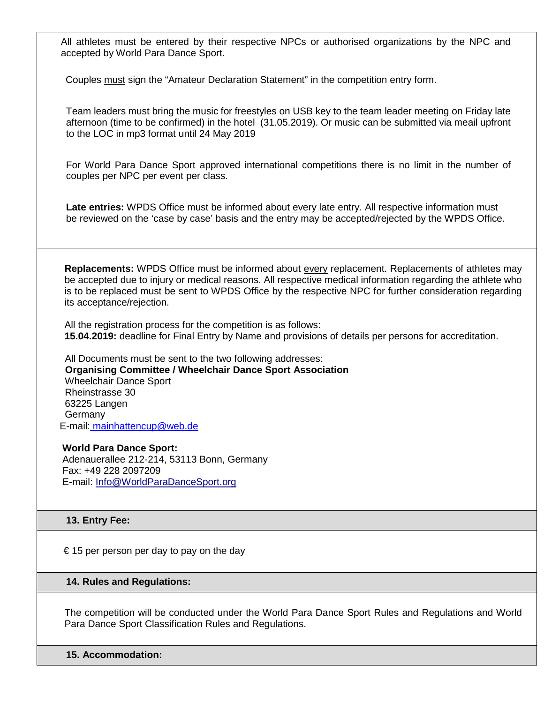All athletes must be entered by their respective NPCs or authorised organizations by the NPC and accepted by World Para Dance Sport.

Couples must sign the "Amateur Declaration Statement" in the competition entry form.

Team leaders must bring the music for freestyles on USB key to the team leader meeting on Friday late afternoon (time to be confirmed) in the hotel (31.05.2019). Or music can be submitted via meail upfront to the LOC in mp3 format until 24 May 2019

For World Para Dance Sport approved international competitions there is no limit in the number of couples per NPC per event per class.

**Late entries:** WPDS Office must be informed about every late entry. All respective information must be reviewed on the 'case by case' basis and the entry may be accepted/rejected by the WPDS Office.

**Replacements:** WPDS Office must be informed about every replacement. Replacements of athletes may be accepted due to injury or medical reasons. All respective medical information regarding the athlete who is to be replaced must be sent to WPDS Office by the respective NPC for further consideration regarding its acceptance/rejection.

All the registration process for the competition is as follows: **15.04.2019:** deadline for Final Entry by Name and provisions of details per persons for accreditation.

All Documents must be sent to the two following addresses:  **Organising Committee / Wheelchair Dance Sport Association** Wheelchair Dance Sport Rheinstrasse 30 63225 Langen **Germany** E-mail: mainhattencup@web.de

**World Para Dance Sport:** Adenauerallee 212-214, 53113 Bonn, Germany Fax: +49 228 2097209 E-mail: Info@WorldParaDanceSport.org

# **13. Entry Fee:**

€ 15 per person per day to pay on the day

#### **14. Rules and Regulations:**

The competition will be conducted under the World Para Dance Sport Rules and Regulations and World Para Dance Sport Classification Rules and Regulations.

**15. Accommodation:**